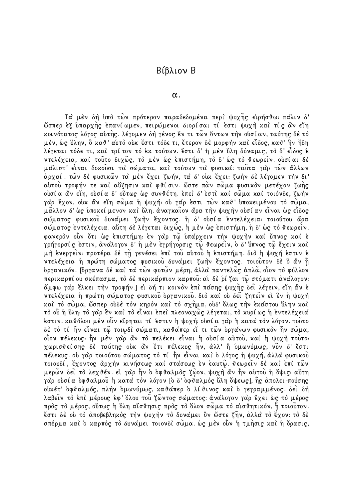## $\alpha$ .

Τα μέν δη υπό των πρότερον παραδεδομένα περί ψυχης ειρήσθω: πάλιν δ' ώσπερ έξ υπαρχῆς επανίωμεν, πειρώμενοι διορίσαι τί εστι ψυχή και τίς άν είη κοινότατος λόγος αυτής. λέγομεν δη γένος έν τι των όντων την ουσίαν, ταύτης δε το μέν, ώς ύλην, δ καθ' αυτό ούκ έστι τόδε τι, έτερον δε μορφήν και είδος, καθ' ην ήδη λέγεται τόδε τι, και τρί τον το έκ τούτων. έστι δ' ή μεν ύλη δύναμις, το δ' είδος ε ντελέχεια, και τούτο διχώς, το μεν ως επιστήμη, το δ' ως το θεωρείν. ουσίαι δε μάλιστ' εἶναι δοκούσι τα` σώματα, καὶ τούτων τα` φυσικά: ταύτα γαρ τῶν ἄλλων άρχαί. τῶν δὲ φυσικῶν τα` μὲν ἔχει ζωήν, τα` δ' οὐκ ἔχει: ζωὴν δὲ λέγομεν τὴν δι' αύτου τροφήν τε και αύξησιν και φθίσιν. ώστε παν σωμα φυσικον μετέχον ζωης ούσία άν είη, ούσία δ' ούτως ώς συνθέτη. επεί δ'εστί και σώμα και τοιόνδε, ζωήν γαρ έχον, ούκ αν είη σώμα ή ψυχή: ού γαρ έστι των καθ' υποκειμένου το σώμα, μᾶλλον δ' ὡς ὑποκεί μενον καὶ ὕλη. ἀναγκαῖον ἄρα τὴν ψυχὴν οὐσί αν εἶναι ὡς εἶδος σώματος φυσικού δυνάμει ζωήν έχοντος. ή δ' ούσία εντελέχεια: τοιούτου άρα σώματος εντελέχεια. αύτη δε λέγεται διχως, ή μεν ως επιστήμη, ή δ' ως το θεωρείν. φανερόν ούν ότι ώς επιστήμη: εν γαρ τώ υπάρχειν την ψυχην και ύπνος και ε γρήγορσίς εστιν, άναλογον δ' ή μέν εγρήγορσις τώ θεωρείν, ο δ' ύπνος τώ έχειν και μη ένεργείν: προτέρα δε τη γενέσει επι του αύτου η επιστήμη διο η ψυχή εστιν ε ντελέχεια ή πρώτη σώματος φυσικού δυνάμει ζωήν έχοντος. τοιούτον δέ δ άν ή οργανικόν. |ὄργανα δὲ καὶ τὰ τῶν φυτῶν μέρη, ἀλλὰ παντελῶς ἁπλᾶ, οἷον τὸ φύλλον περικαρπί ου σκέπασμα, το δε περικάρπιον καρπού: αι δε δί ζαι τώ στόματι άνάλογον: άμφω γαρ έλκει την τροφήν.] ει δή τι κοινον επι πασης ψυχῆς δεῖ λέγειν, εἴη ἀν ε ντελέχεια ή πρώτη σώματος φυσικοῦ ὀργανικοῦ διὸ καὶ οὐ δεἶ ζητεἶν εἰ ἓν ἡ ψυχὴ καὶ τὸ σῶμα, ὥσπερ οὐδὲ τὸν κηρὸν καὶ τὸ σχῆμα, οὐδ' ὅλως τὴν ἑκάστου ὕλην καὶ τὸ οὑ ἡ ὕλη: τὸ γαρ ἓν καὶ τὸ εἰναι ἐπεὶ πλεοναχως λέγεται, τὸ κυρίως ἡ ἐντελέχεια έστιν. καθόλου μέν οὗν εἴρηται τί ἐστιν ἡ ψυχή: οὐσία γαρ ἡ κατα τὸν λόγον. τοῦτο δὲ τὸ τί ἦν εἶναι τῷ τοιῳδὶ σώματι, καθάπερ εἴ τι τῶν ὀργάνων φυσικὸν ἦν σῶμα, οίον πέλεκυς: ἦν μεν γαρ άν το πελέκει είναι ή ουσία αυτού, και ή ψυχη τούτο: γωρισθείσης δέ ταύτης ούκ άν έτι πέλεκυς ἦν, άλλ' ἢ δμωνύμως, νὖν δ' έστι πέλεκυς. ού γαρ τοιούτου σώματος το τί ήν είναι και ο λόγος ή ψυχή, άλλα φυσικού τοιουδί, έχοντος άρχην κινήσεως και στάσεως εν εαυτώ. θεωρείν δε και επι τών μερῶν δεῖ τὸ λεχθέν, εἰ γαρ ἦν ὁ ὀφθαλμὸς ζῶον, ψυχὴ ἀν ἦν αὐτοῦ ἡ ὄψις: αὕτη γαρ ουσία οφθαλμού ή κατα τον λόγον [ο δ' οφθαλμος ύλη όψεως], ης απολει-πούσης ούκέτ' όφθαλμός, πλήν δμωνύμως, καθάπερ δ λίθινος και δ γεγραμμένος. δεί δή λαβείν το επι μέρους εφ' όλου του ζώντος σώματος: άναλογον γαρ έχει ως το μέρος πρός το μέρος, ούτως ή όλη αίσθησις προς το όλον σώμα το αισθητικόν, ή τοιούτον. έστι δὲ οὐ τὸ ἀποβεβληκὸς τὴν ψυχὴν τὸ δυνάμει ὂν ὥστε ζῆν, ἀλλα τὸ ἔχον: τὸ δὲ σπέρμα και ο καρπος το δυνάμει τοιονδι σώμα. ως μεν ούν η τμησις και η δρασις,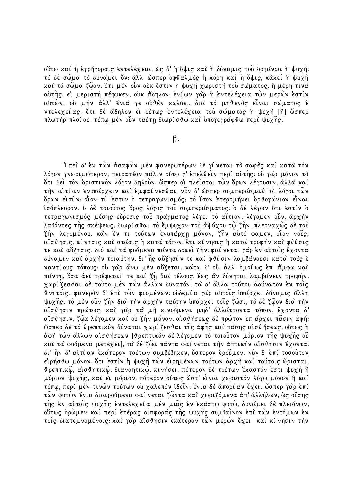ούτω και η εγρήγορσις εντελέχεια, ώς δ' η όψις και η δύναμις του όργανου, η ψυχή: τὸ δὲ σὦμα τὸ δυνάμει ὄν: ἀλλ' ὥσπερ ὀφθαλμὸς ἡ κόρη καὶ ἡ ὄψις, κἀκεἶ ἡ ψυχή καὶ τὸ σῶμα ζῷον. ὅτι μèν οὖν οὐκ ἔστιν ἡ ψυχὴ χωριστὴ τοῦ σώματος, ἢ μέρη τινα αύτης, εί μεριστή πέφυκεν, ούκ άδηλον: ενίων γαρ η εντελέχεια των μερών εστίν αύτών. ού μήν άλλ' ένια γε ούθεν κωλύει, δια το μηθενος είναι σώματος ε ντελεχείας. έτι δε άδηλον ει ούτως εντελέχεια του σώματος η ψυχη [ή] ώσπερ πλωτήρ πλοίου. τύπω μέν οὖν ταύτη διωρίσθω καὶ ὑπογεγράφθω περὶ ψυχῆς.

ß.

Έπεὶ δ' ἐκ τῶν ἀσαφῶν μὲν φανερωτέρων δὲ γίνεται τὸ σαφὲς καὶ κατα τὸν λόγον γνωριμώτερον, πειρατέον πάλιν ούτω γ' επελθείν περί αυτής: ου γαρ μόνον το δτι δει τον δριστικον λόγον δηλοῦν, ὥσπερ οἱ πλειστοι τῶν ὅρων λέγουσιν, ἀλλα καὶ τήν αιτίαν ενυπάρχειν και εμφαίνεσθαι. νύν δ' ώσπερ συμπεράσμαθ' οι λόγοι τών δρων εισίν: οίον τί εστιν ο τετραγωνισμός; το Ίσον ετερομήκει ορθογώνιον είναι ισόπλευρον. ὁ δὲ τοιοὖτος ὅρος λόγος τοὖ συμπεράσματος: ὁ δὲ λέγων ὅτι ἐστὶν ὁ τετραγωνισμός μέσης εύρεσις του πράγματος λέγει το αίτιον. λέγομεν ούν, άρχην λαβόντες της σκέψεως, διωρίσθαι το έμψυχον του αψύχου τω ζην. πλεοναχως δε του ζην λεγομένου, κάν έν τι τούτων ενυπάρχη μόνον, ζην αυτό φαμεν, οίον νούς, αΐσθησις, κίνησις και στάσις ή κατα τόπον, έτι κίνησις ή κατα τροφην και φθίσις τε και αύξησις. διο και τα φυόμενα πάντα δοκει ζην: φαί νεται γαρ εν αυτοις έχοντα δύναμιν και άρχην τοιαύτην, δι' ής αύξησίν τε και φθίσιν λαμβάνουσι κατα τους ε ναντίους τόπους: ού γαρ άνω μέν αύξεται, κάτω δ' ού, άλλ' δμοί ως επ' άμφω και πάντη, όσα άει τρέφεταί τε και ζη δια τέλους, έως άν δύνηται λαμβάνειν τροφήν. χωρίζεσθαι δέ τούτο μέν των άλλων δυνατόν, τα δ' άλλα τούτου άδύνατον έν τοις θνητοίς φανερόν δ' επί των φυομένων: ούδεμία γαρ αύτοις υπάρχει δύναμις άλλη ψυχῆς. τὸ μὲν οὖν ζῆν δια τὴν ἀρχὴν ταύτην ὑπάρχει τοἶς ζῶσι, τὸ δὲ ζῷον δια τὴν αΐσθησιν πρώτως: και γαρ τα μή κινούμενα μηδ' άλλαττοντα τόπον, έχοντα δ' αΐσθησιν, ζὦα λέγομεν καὶ οὐ ζῆν μόνον. αἰσθήσεως δὲ πρῶτον ὑπ-άρχει πᾶσιν ἁφή: ώσπερ δέ τὸ θρεπτικὸν δύναται χωρί ζεσθαι της άφης και πάσης αισθήσεως, ούτως η άφη τῶν ἄλλων αισθήσεων [θρεπτικὸν δὲ λέγομεν τὸ τοιοῦτον μόριον τῆς ψυχῆς οὗ και τα φυόμενα μετέχει], τα δε ζώα πάντα φαίνεται την απτικην αίσθησιν έχοντα: δι' ἣν δ' αιτί αν εκάτερον τούτων συμβέβηκεν, ύστερον ερούμεν. νύν δ' επι τοσούτον ειρήσθω μόνον, ότι εστιν η ψυχη των ειρημένων τούτων άρχη και τούτοις ώρισται, θρεπτικὦ, αισθητικὦ, διανοητικὦ, κινήσει. πότερον δὲ τούτων ἕκαστόν ἐστι ψυχὴ ἢ μόριον ψυχῆς, καὶ εἰ μόριον, πότερον οὕτως ὥστ' εἶναι χωριστὸν λόγῳ μόνον ἢ καὶ τόπω, περί μέν τινών τούτων ού χαλεπον ιδείν, ένια δε άπορίαν έχει. ώσπερ γαρ επι τῶν φυτῶν ἔνια διαιρούμενα φαί νεται ζῶντα καὶ χωριζόμενα ἀπ' ἀλλήλων, ὡς οὔσης της εν αύτοις ψυχης εντελεχεία μεν μιάς εν εκάστω φυτώ, δυνάμει δε πλειόνων, ούτως δρώμεν και περι ετέρας διαφορας της ψυχης συμβαϊνον επι των εντόμων εν τοις διατεμνομένοις: και γαρ αΐσθησιν εκάτερον των μερων έχει και κίνησιν την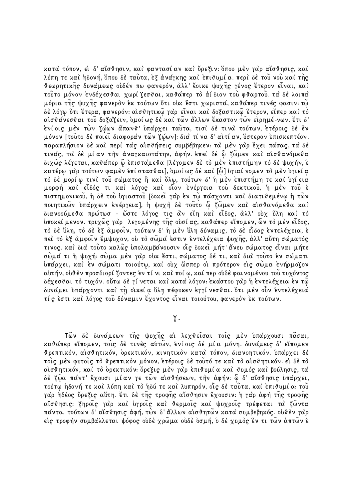κατα τόπον, εί δ' αΐσθησιν, και φαντασί αν και όρεξιν: όπου μεν γαρ αΐσθησις, και λύπη τε και ήδονή, όπου δε ταύτα, εξ ανάγκης και επιθυμία περι δε του νου και της θεωρητικής δυνάμεως ούδέν πω φανερόν, άλλ' έοικε ψυχής γένος έτερον είναι, και τούτο μόνον ενδέχεσθαι χωρί ζεσθαι, καθάπερ το αίδιον του φθαρτου. τα δε λοιπα μόρια της ψυχης φανερον έκ τούτων ότι ούκ έστι χωριστά, καθάπερ τινές φασιν: τώ δε λόγω ότι έτερα, φανερόν: αισθητικὦ γαρ εἶναι και δοξαστικὦ έτερον, εἴπερ και το αισθανεσθαι του δοξαζειν, δμοί ως δε και των άλλων έκαστον των ειρημέ-νων. έτι δ' ἐνίοις μὲν τῶν ζώων ἄπανθ' ὑπάρχει ταῦτα, τισὶ δὲ τινα τούτων, ἑτέροις δὲ ἓν μόνον [τοῦτο δε ποιεἶ διαφοραν τῶν ζώων]: δια τί να δ' αιτί αν, ὕστερον επισκεπτέον. παραπλήσιον δέ και περι τας αισθήσεις συμβέβηκεν: τα μεν γαρ έχει πάσας, τα δε τινάς, τα δέ μίαν την αναγκαιοτάτην, άφήν έπει δέ ὧ ζώμεν και αισθανόμεθα διχώς λέγεται, καθάπερ ὧ επιστάμεθα [λέγομεν δε το μεν επιστήμην το δε ψυχήν, ε κατέρω γαρ τούτων φαμεν επί στασθαι], δμοί ως δε και [ὧ] υγιαί νομεν το μεν υγιεί α τό δέ μορί ω τινί του σώματος ή και δλω, τούτων δ' ή μεν επιστήμη τε και υγί εια μορφή καὶ εἶδός τι καὶ λόγος καὶ οἷον ἐνέργεια τοῦ δεκτικοῦ, ἡ μὲν τοῦ ἐ πιστημονικού, ή δέ του υγιαστού [δοκεί γαρ έν τῷ πασχοντι και διατιθεμένω ή τῶν ποιητικών υπάρχειν ενέργεια], ή ψυχη δε τούτο ώ ζώμεν και αισθανόμεθα και διανοούμεθα πρώτωσ - ώστε λόγος τις άν είη και είδος, άλλ' ούχ ύλη και το υποκεί μενον. τριχώς γαρ λεγομένης της ουσίας, καθάπερ είπομεν, ὧν το μεν εἶδος, τό δέ ύλη, το δέ έξ άμφοιν, τούτων δ' ή μέν ύλη δύναμις, το δέ είδος εντελέχεια, ε πεί τὸ ἐξ ἀμφοἶν ἔμψυχον, οὐ τὸ σῶμα ἐστιν ἐντελέχεια ψυχῆς, ἀλλ' αὕτη σώματός τινος και δια τούτο καλώς υπολαμβάνουσιν οίς δοκεί μήτ' άνευ σώματος είναι μήτε σῶμα τι ἡ ψυχή: σῶμα μὲν γαρ οὐκ ἔστι, σώματος δέ τι, καὶ δια τοῦτο ἐν σώματι υπάρχει, και έν σώματι τοιούτω, και ουχ ώσπερ οι πρότερον εις σώμα ενήρμοζον αύτήν, ούθεν προσδιορί ζοντες έν τί νι και ποί ω, καί περ ούδε φαινομένου του τυχόντος δέχεσθαι τὸ τυχόν. οὕτω δὲ γί νεται καὶ κατὰ λόγον: ἑκαστου γαρ ἡ ἐντελέχεια ἐν τῷ δυνάμει υπάρχοντι και τη σικεία ύλη πέφυκεν εγγίνεσθαι. ότι μεν ούν εντελέχεια τίς έστι και λόγος του δύναμιν έχοντος είναι τοιούτου, φανερον έκ τούτων.

 $\gamma$ .

Τῶν δε δυνάμεων της ψυχης αι λεχθείσαι τοις μεν υπάρχουσι πασαι, καθάπερ είπομεν, τοις δέ τινές αύτων, ένίοις δέ μία μόνη. δυνάμεις δ' είπομεν θρεπτικόν, αισθητικόν, όρεκτικόν, κινητικόν κατα τόπον, διανοητικόν. υπάρχει δέ τοις μέν φυτοις το θρεπτικον μόνον, ετέροις δε τουτό τε και το αισθητικόν ει δε το αισθητικόν, και το όρεκτικόν: όρεξις μεν γαρ επιθυμία και θυμος και βούλησις, τα δὲ ζῷα πάντ' ἔχουσι μίαν γε τῶν αἰσθήσεων, τὴν ἁφήν: ῷ δ' αἴσθησις ὑπάρχει, τούτω ηδονή τε και λύπη και το ηδύ τε και λυπηρόν, οις δε ταυτα, και επιθυμία: του γαρ ηδέος ὄρεξις αύτη. έτι δε της τροφης αίσθησιν έχουσιν: η γαρ άφη της τροφης αΐσθησις: ζηροϊς γαρ και υγροϊς και θερμοϊς και ψυχροϊς τρέφεται τα ζώντα πάντα, τούτων δ' αΐσθησις άφή, τῶν δ' άλλων αισθητῶν κατα συμβεβηκός. ουθέν γαρ είς τροφήν συμβαλλεται ψόφος οὐδε χρῶμα οὐδε ὀσμή, ὁ δε χυμὸς ἕν τι τῶν ἁπτῶν ε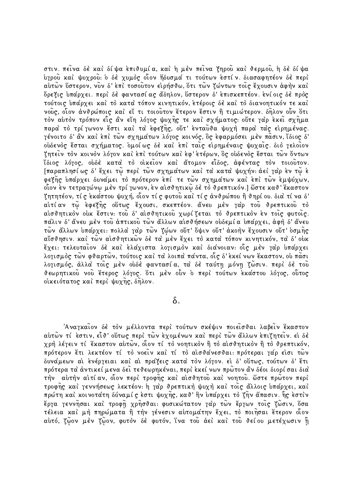στιν. πείνα δέ καὶ δί ψα ἐπιθυμία, καὶ ἡ μέν πείνα ξηροῦ καὶ θερμοῦ, ἡ δὲ δί ψα ύγρου και ψυχρού: δ δε χυμός οίον ήδυσμά τι τούτων εστίν. διασαφητέον δε περι αυτών ύστερον, νὖν δ' επι τοσοὖτον ειρήσθω, δτι τὦν ζώντων τοις έχουσιν άφην και δρεξις υπάρχει, περί δέ φαντασί ας άδηλον, ύστερον δ' επισκεπτέον, ενί οις δέ προς τούτοις υπάρχει και το κατα τόπον κινητικόν, ετέροις δε και το διανοητικόν τε και νούς, οίον άνθρώποις και εί τι τοιούτον έτερον έστιν ή τιμιώτερον. δηλον ούν ότι τον αύτον τρόπον είς άν είη λόγος ψυχης τε και σχήματος: ούτε γαρ εκει σχημα παρα το τρίγωνον έστι και τα εφεξής, ούτ' ενταυθα ψυχη παρα τας ειρημένας. γένοιτο δ' άν και επι των σχημάτων λόγος κοινός, δς εφαρμόσει μεν πάσιν, Ίδιος δ' ούδενός έσται σχήματος. δμοίως δε και επι ταις ειρημέναις ψυχαις. διο γελοίον ζητείν τον κοινον λόγον και επι τούτων και εφ' ετέρων, δς ουδενος έσται των όντων ζδιος λόγος, ούδέ κατα το οικείον και άτομον είδος, αφέντας τον τοιούτον. [παραπλησίως δ' έχει τῷ περι τῶν σχημάτων και τα κατα ψυχήν: ἀει γαρ εν τῷ ε φεζης υπάρχει δυνάμει το πρότερον επί τε των σχημάτων και επι των εμψύχων, οΐον έν τετραγώνω μέν τρί γωνον, έν αισθητικώ δέ το θρεπτικόν.] ὥστε καθ' ἕκαστον ζητητέον, τίς εκάστου ψυχή, οίον τίς φυτού και τίς άνθρώπου ή θηρίου. δια τίνα δ' αιτίαν τώ εφεξής ούτως έχουσι, σκεπτέον. άνευ μέν γαρ του θρεπτικού το αισθητικόν ούκ έστιν: του δ' αισθητικού χωρίζεται το θρεπτικον εν τοις φυτοις. πάλιν δ' άνευ μέν τοῦ ἁπτικοῦ τῶν ἄλλων αἰσθήσεων οὐδεμία ὑπάρχει, ἁφὴ δ' ἄνευ τῶν ἄλλων ὑπάρχει: πολλα γαρ τῶν ζώων οὔτ' ὄψιν οὔτ' ἀκοήν ἔχουσιν οὔτ' ὀσμῆς αΐσθησιν. και των αισθητικων δε τα μεν έχει το κατα τόπον κινητικόν, τα δ' ούκ έχει: τελευταίον δέ καὶ 'έλάχιστα λογισμόν καὶ διάνοιαν: οἷς μέν γαρ ὑπάρχει λογισμός τὦν φθαρτὦν, τούτοις και τα λοιπα πάντα, οις δ'εκεί νων έκαστον, ου πασι λογισμός, άλλα τοις μέν ούδε φαντασία, τα δε ταύτη μόνη ζωσιν. περί δε του θεωρητικού νού έτερος λόγος. ότι μέν ούν ο περί τούτων εκάστου λόγος, ούτος οικειότατος και περι ψυχής, δήλον.

δ.

Αναγκαῖον δὲ τὸν μέλλοντα περὶ τούτων σκέψιν ποιεῖσθαι λαβεῖν ἕκαστον αύτων τί έστιν, είθ' ούτως περί των έχομένων καί περί των άλλων επιζητείν. εί δέ γρή λέγειν τί έκαστον αύτών, οίον τί το νοητικον ή το αισθητικον ή το θρεπτικόν, πρότερον έτι λεκτέον τί το νοείν και τί το αισθάνεσθαι: πρότεραι γάρ είσι των δυνάμεων αί ενέργειαι καί αί πράξεις κατα τον λόγον. εί δ' ούτως, τούτων δ' έτι πρότερα τα άντικεί μενα δει τεθεωρηκέναι, περι εκεί νων πρώτον άν δέοι διορί σαι δια τήν αύτήν αιτίαν, οίον περι τροφής και αισθητού και νοητού. ώστε πρώτον περι τροφής και γεννήσεως λεκτέον: ή γαρ θρεπτική ψυχή και τοις άλλοις υπάρχει, και πρώτη και κοινοτάτη δύναμίς έστι ψυχῆς, καθ' ἣν υπάρχει το ζῆν ἄπασιν. ἡς έστιν έργα γεννῆσαι καὶ τροφῆ χρῆσθαι: φυσικώτατον γαὰ τῶν ἔργων τοἶς ζῶσιν, ὅσα τέλεια και μη πηρώματα ή την γένεσιν αυτομάτην έχει, το ποιησαι έτερον οίον αύτό, ζώον μέν ζώον, φυτόν δέ φυτόν, ίνα του άει και του θείου μετέχωσιν ή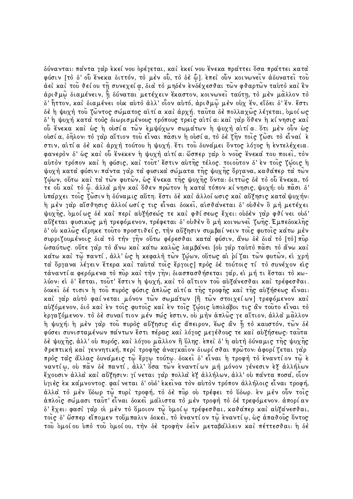δύνανται: πάντα γαρ έκεί νου ορέγεται, και έκεί νου ένεκα πράττει δσα πράττει κατα φύσιν [τὸ δ' οὗ ἕνεκα διττόν, τὸ μèν οὗ, τὸ δè ὧ]. ἐπεὶ οὖν κοινωνεἶν ἀδυνατεἶ τοῦ άει και τοῦ θεί ου τῆ συνεχεί α, δια τὸ μηδεν ενδέχεσθαι τῶν φθαρτῶν ταὐτὸ και εν άριθμω διαμένειν, ή δύναται μετέχειν έκαστον, κοινωνει ταύτη, το μέν μαλλον το δ' ήττον, και διαμένει ούκ αυτο άλλ' οίον αυτό, αριθμώ μεν ουχ έν, είδει δ' έν. έστι δε η ψυχη τοῦ ζῶντος σώματος αιτί α και άρχή. ταῦτα δε πολλαχῶς λέγεται, δμοί ως δ' ή ψυχη κατα τούς διωρισμένους τρόπους τρείς αίτία: και γαρ όθεν ή κίνησις και οὗ ἕνεκα καὶ ὡς ἡ οὐσία τῶν ἐμψύχων σωμάτων ἡ ψυχὴ αἰτία. ὅτι μὲν οὖν ὡς ούσία, δηλον: τὸ γαρ αἴτιον τοῦ εἶναι πἆσιν ἡ οὐσία, τὸ δὲ ζῆν τοῖς ζῶσι τὸ εἶναί 'ε στιν, αίτία δέ και άρχη τούτου η ψυχή. έτι του δυνάμει όντος λόγος η εντελέχεια. φανερόν δ' ώς και ού ένεκεν ή ψυχη αιτία: ώσπερ γαρ ο νούς ένεκα του ποιεί, τον αύτον τρόπον και ή φύσις, και τουτ' έστιν αύτης τέλος τοιούτον δ'εν τοις ζώοις ή ψυχή κατα φύσιν: πάντα γαρ τα φυσικα σώματα της ψυχης ὄργανα, καθάπερ τα των ζώων, ούτω και τα τῶν φυτῶν, ὡς ἕνεκα τῆς ψυχῆς ὄντα: διττῶς δε το οὗ ἕνεκα, τό τε οὗ καὶ τὸ ὧ. ἀλλα μὴν καὶ ὅθεν πρῶτον ἡ κατα τόπον κίνησις, ψυχή: οὐ πᾶσι δ' υπάρχει τοις ζωσιν ή δύναμις αύτη. έστι δε και άλλοί ωσις και αύξησις κατα ψυχήν: ή μέν γαρ αΐσθησις άλλοί ωσίς τις εἶναι δοχεἶ, αισθάνεται δ' οὐθέν δ μή μετέχει ψυχης, όμοίως δέ και περι αυξήσεώς τε και φθίσεως έχει: ουδεν γαρ φθίνει ουδ' αΰζεται φυσικώς μή τρεφόμενον, τρέφεται δ' ούθεν δ μή κοινωνει ζωής. Έμπεδοκλης δ' ου καλώς είρηκε τούτο προστιθείς, την αύζησιν συμβαί νειν τοις φυτοις κάτω μέν συρριζουμένοις δια το την γήν ούτω φέρεσθαι κατα φύσιν, άνω δε δια το [το ] πυρ ώσαύτως. ούτε γαρ το άνω και κάτω καλώς λαμβάνει [ου γαρ ταυτο πασι το άνω και κάτω και τῷ παντί, ἀλλ' ὡς ἡ κεφαλὴ τῶν ζώων, οὕτως αι ϸίζαι τῶν φυτῶν, ει χρὴ τα όργανα λέγειν έτερα και ταυτα τοις έργοις] προς δε τούτοις τί το συνέχον εις τάναντία φερόμενα τὸ πυρ και την γην; διασπασθήσεται γάρ, ει μή τι έσται τὸ κωλύον: ει δ' έσται, τουτ' έστιν ή ψυχή, και το αίτιον του αυξάνεσθαι και τρέφεσθαι. δοκεί δέ τισιν ή τού πυρός φύσις άπλώς αιτία της τροφης και της αυξήσεως είναι: καὶ γαρ αὐτὸ φαίνεται μόνον τῶν σωμάτων [ἢ τῶν στοιχεί ων] τρεφόμενον καὶ αύξόμενον, διὸ καὶ ἐν τοις φυτοις καὶ ἐν τοις ζώοις ὑπολάβοι τις ἀν τουτο είναι τὸ έργαζόμενον. τὸ δὲ συναί τιον μέν πώς ἐστιν, οὐ μὴν ἁπλῶς γε αἴτιον, ἀλλα μᾶλλον ή ψυχή: ή μέν γαρ του πυρός αύξησις εις άπειρον, έως αν ή το καυστόν, των δε φύσει συνισταμένων πάντων έστι πέρας και λόγος μεγέθους τε και αυξήσεως: ταυτα δέ ψυχης, άλλ' ου πυρός, και λόγου μαλλον ή ύλης. επει δ' η αυτη δύναμις της ψυχης θρεπτική και γεννητική, περι τροφης αναγκαιον διωρί σθαι πρώτον: αφορίζεται γαρ πρός τας άλλας δυναμεις τῷ ἔργῳ τούτῳ. δοκεἶ δ' εἶναι ἡ τροφὴ τὸ ἐναντίον τῷ ἐ ναντίω, ού παν δέ παντί, άλλ' όσα των εναντίων μή μόνον γένεσιν εξ άλλήλων έχουσιν άλλα και αύζησιν: γί νεται γαρ πολλα εξ άλλήλων, άλλ' ου πάντα ποσά, οἷον ύγιές έκ κάμνοντος. φαί νεται δ' ούδ' έκεινα τον αύτον τρόπον άλλήλοις είναι τροφή, άλλα το μεν ύδωρ τῷ πυρὶ τροφή, το δε πῦρ οὐ τρέφει το ὕδωρ. ἐν μεν οὖν τοἶς άπλοις σώμασι ταυτ' είναι δοχει μαλιστα το μεν τροφή το δε τρεφόμενον. άπορίαν δ' έχει: φασί γαρ οί μέν το δμοιον τῷ δμοί ψ τρέφεσθαι, καθάπερ και αυξάνεσθαι, τοις δ' ώσπερ είπομεν το μπαλιν δοκει, το εναντίον τω εναντίω, ως απαθούς όντος του δμοίου υπό του δμοίου, την δέ τροφην δείν μεταβάλλειν και πέττεσθαι: η δε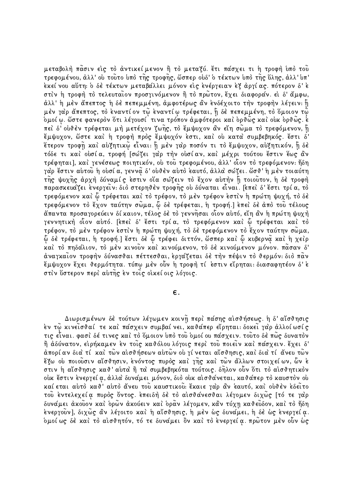μεταβολή πασιν είς το αντικεί μενον ή το μεταξύ. έτι πασχει τι ή τροφή υπο του τρεφομένου, άλλ' ού τούτο ύπο της τροφης, ώσπερ ούδ' ο τέκτων ύπο της ύλης, άλλ' υπ' έκεί νου αύτη: δ δέ τέκτων μεταβάλλει μόνον είς ενέργειαν εξ άργίας. πότερον δ' ε στίν ή τροφή τὸ τελευταἶον προσγινόμενον ἢ τὸ πρῶτον, ἔχει διαφοραν. εἰ δ' ἄμφω, άλλ' ή μεν άπεπτος ή δε πεπεμμένη, άμφοτέρως ἂν ενδέχοιτο την τροφην λέγειν: η μέν γαρ άπεπτος, το εναντίον τῷ εναντίω τρέφεται, ἧ δε πεπεμμένη, το δμοιον τῷ δμοίω. ὥστε φανερὸν ὅτι λέγουσί τινα τρόπον ἀμφότεροι καὶ ὀρθὦς καὶ οὐκ ὀρθὦς. ἐ πεὶ δ' οὐθεν τρέφεται μὴ μετέχον ζωῆς, τὸ ἔμψυχον ἀν εἴη σῶμα τὸ τρεφόμενον, ῇ έμψυχον, ώστε και ή τροφη προς έμψυχόν εστι, και ού κατα συμβεβηκός. έστι δ' έτερον τροφῆ καὶ αὐξητικῷ εἶναι: ῇ μὲν γαρ ποσόν τι τὸ ἔμψυχον, αὐξητικόν, ῇ δὲ τόδε τι και ουσία, τροφή [σώζει γαρ την ουσίαν, και μέχρι τούτου έστιν έως άν τρέφηται], και γενέσεως ποιητικόν, ου του τρεφομένου, άλλ' οίον το τρεφόμενον: ήδη γαρ έστιν αύτοῦ ἡ οὐσί α, γεννῷ δ' οὐθεν αὐτὸ εαυτό, ἀλλα σώζει. ὥσθ' ἡ μεν τοιαύτη της ψυχης άρχη δύναμίς έστιν οΐα σώζειν το έχον αύτην η τοιούτον, η δέ τροφη παρασκευάζει ενεργείν: διὸ στερηθεν τροφης οὐ δύναται εἶναι. Γεπει δ' έστι τρί α, τὸ τρεφόμενον και ώ τρέφεται και το τρέφον, το μεν τρέφον εστιν η πρώτη ψυχή, το δε τρεφόμενον το έχον ταύτην σώμα, ὧ δε τρέφεται, ή τροφή. | επει δε άπο τού τέλους άπαντα προσαγορεύειν δίκαιον, τέλος δέ τὸ γεννῆσαι οἷον αὐτό, εἴη ἀν ἡ πρώτη ψυχή γεννητική οίον αύτό. [επεί δ' έστι τρία, το τρεφόμενον και ω τρέφεται και το τρέφον, τὸ μèν τρέφον 'εστιν ἡ πρώτη ψυχή, τὸ δè τρεφόμενον τὸ έχον ταύτην σωμα, ώ δε τρέφεται, ή τροφή.] έστι δε ώ τρέφει διττόν, ώσπερ και ώ κυβερνα και ή χειρ καὶ τὸ πηδάλιον, τὸ μèν κινοῦν καὶ κινούμενον, τὸ δè κινούμενον μόνον. πασαν δ' άναγκαίον τροφήν δύνασθαι πέττεσθαι, εργάζεται δε τήν πέψιν το θερμόν: διο παν έμψυχον έχει θερμότητα. τύπω μέν οὖν ἡ τροφη τί 'εστιν εἴρηται: διασαφητέον δ' ε στιν ύστερον περι αύτης εν τοις οικεί οις λόγοις.

## $\epsilon$ .

Διωρισμένων δε τούτων λέγωμεν κοινη περι πάσης αισθήσεως. η δ' αίσθησις έν τὧ κινεῖσθαί τε καὶ πάσχειν συμβαίνει, καθάπερ εἴρηται: δοκεῖ γὰρ ἀλλοίωσίς τις είναι. φασί δέ τινες και το δμοιον υπο του δμοί ου πάσχειν. τουτο δε πως δυνατον ή άδύνατον, ειρήκαμεν έν τοις καθόλου λόγοις περι του ποιείν και πάσχειν. έχει δ' άπορίαν δια τί καὶ τῶν αἰσθήσεων αὐτῶν οὐ γίνεται αἴσθησις, καὶ δια τί ἄνευ τῶν <u>ἔζω οὐ ποιοῦσιν αἴσθησιν, ἐνόντος πυρὸς καὶ γῆς καὶ τῶν ἄλλων στοιχεί ων, ὧν ἐ</u> στιν ή αίσθησις καθ' αύτα ή τα συμβεβηκότα τούτοις. δηλον οὖν ότι το αισθητικον ούκ έστιν ενεργεί α, άλλα δυνάμει μόνον, διο ούκ αισθάνεται, καθάπερ το καυστον ου καί εται αύτο καθ' αύτο άνευ του καυστικού: έκαιε γαρ άν εαυτό, και ούθεν εδείτο του εντελεχεία πυρός όντος. επειδή δε το αισθάνεσθαι λέγομεν διχως [τό τε γαρ δυνάμει άκούον και δρών άκούειν και δράν λέγομεν, κάν τύχη καθεύδον, και το ήδη ένεργοῦν], διχῶς ἀν λέγοιτο καὶ ἡ αἴσθησις, ἡ μὲν ὡς δυναμει, ἡ δὲ ὡς ἐνεργεί α. δμοίως δε καὶ τὸ αἰσθητόν, τό τε δυνάμει ὂν καὶ τὸ ἐνεργεί α πρῶτον μεν οὖν ὡς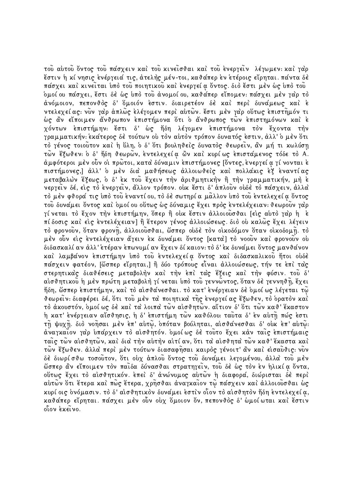του αυτου όντος του πάσχειν και του κινείσθαι και του ενεργείν λέγωμεν: και γαρ έστιν ή κί νησις ενέργειά τις, άτελης μέν-τοι, καθάπερ εν ετέροις είρηται. πάντα δέ πάσχει και κινείται ύπο του ποιητικού και ενεργεί α όντος. διο έστι μεν ώς υπο του δμοί ου πάσχει, έστι δε ώς υπό του άνομοί ου, καθάπερ είπομεν: πάσχει μεν γαρ το άνόμοιον, πεπονθός δ' δμοιόν 'εστιν. διαιρετέον δε και περι δυνάμεως και ε ντελεχείας: νύν γαρ άπλώς ελέγομεν περί αύτών. έστι μεν γαρ ούτως επιστήμόν τι ώς ἂν εἴποιμεν ἄνθρωπον 'επιστήμονα ὅτι ὁ ἄνθρωπος τῶν 'επιστημόνων καὶ 'ε γόντων επιστήμην: έστι δ' ώς ήδη λέγομεν επιστήμονα τον έχοντα την γραμματικήν: εκάτερος δε τούτων ού τον αύτον τρόπον δυνατός εστιν, άλλ' ο μεν ότι τὸ γένος τοιοῦτον καὶ ἡ ὕλη, ὁ δ' ὅτι βουληθεὶς δυνατὸς θεωρεἶν, ἀν μή τι κωλύση τῶν ἔζωθεν: ὁ δ' ἤδη θεωρῶν, εντελεχεία ὢν καὶ κυρίως επιστάμενος τόδε τὸ Α. άμφότεροι μέν ούν οι πρώτοι, κατα δύναμιν επιστήμονες [όντες, ενεργεί α γί νονται ε πιστήμονες, άλλ' ο μέν δια μαθήσεως άλλοιωθείς και πολλάκις έξ εναντίας μεταβαλων έξεως, ο δ' έκ του έχειν την αριθμητικην ή την γραμματικήν, μη έ νεργείν δέ, είς το ενεργείν, άλλον τρόπον. ούκ έστι δ' άπλοῦν ούδε το πάσχειν, άλλα το μεν φθορά τις ύπο του εναντίου, το δε σωτηρία μαλλον ύπο του εντελεχεία όντος του δυνάμει όντος και όμοί ου ούτως ως δύναμις έχει προς εντελέχειαν: θεωρούν γαρ γίνεται τὸ ἔχον τὴν ἐπιστήμην, ὅπερ ἢ οὐκ ἔστιν ἀλλοιοῦσθαι [εἰς αὑτὸ γαρ ἡ 'ε πίδοσις και είς εντελέχειαν] ή έτερον γένος άλλοιώσεως. διο ού καλώς έχει λέγειν τό φρονούν, δταν φρονη, άλλοιούσθαι, ώσπερ ούδε τον οικοδόμον δταν οικοδομη. το μέν οὖν εις εντελέχειαν άγειν εκ δυνάμει ὄντος [κατα] το νοοῦν και φρονοῦν οὐ διδασκαλί αν άλλ ' έτέραν ' επωνυμί αν ' έχειν δί καιον: το δ' 'εκ δυνάμει ' όντος μανθάνον και λαμβάνον επιστήμην υπο του εντελεχεία όντος και διδασκαλικού ήτοι ουδε πάσχειν φατέον, [ώσπερ είρηται,] ή δύο τρόπους είναι άλλοιώσεως, τήν τε επι τας στερητικάς διαθέσεις μεταβολήν και τήν επι τας έξεις και τήν φύσιν. του δ' αισθητικού ή μέν πρώτη μεταβολή γί νεται ύπο του γεννώντος, όταν δε γεννηθη, έχει ήδη, ὥσπερ 'επιστήμην, καὶ τὸ αισθάνεσθαι. τὸ κατ' 'ενέργειαν δὲ δμοί ως λέγεται τῷ θεωρείν: διαφέρει δέ, ότι του μεν τα ποιητικα της ενεργεί ας έξωθεν, το δρατον και το άκουστόν, δμοί ως δε και τα λοιπα των αισθητων. αίτιον δ' ότι των καθ' έκαστον η κατ' ένέργειαν αίσθησις, η δ' επιστήμη των καθόλου: ταύτα δ' έν αύτη πώς έστι τη ψυχη. διο νοησαι μέν επ' αύτώ, δπόταν βούληται, αισθάνεσθαι δ' ούκ επ' αύτώ: άναγκαίον γαρ υπάρχειν το αισθητόν. δμοίως δε τούτο έχει κάν ταις επιστήμαις ταις των αίσθητων, και δια την αύτην αίτί αν, ότι τα αίσθητα των καθ' έκαστα και τῶν ἔξωθεν. ἀλλα περὶ μεν τούτων διασαφῆσαι καιρὸς γένοιτ' ἀν καὶ εἰσαῦθις: νῦν δέ διωρίσθω τοσούτον, ότι ούχ άπλοῦ ὄντος τοῦ δυνάμει λεγομένου, ἀλλα τοῦ μέν ώσπερ ἀν εἴποιμεν τὸν παἶδα δύνασθαι στρατηγεἶν, τοῦ δὲ ὡς τὸν ἐν ἡλικί α ὄντα, ούτως έχει το αίσθητικόν. επεί δ' άνώνυμος αύτων ή διαφορά, διώρισται δε περί αύτῶν ὅτι ἕτερα καὶ πῶς ἕτερα, χρῆσθαι ἀναγκαῖον τῷ πασχειν καὶ ἀλλοιοῦσθαι ὡς κυρί οις ονόμασιν. το δ' αισθητικον δυνάμει εστιν οίον το αισθητον ήδη εντελεχεία, καθάπερ εἴρηται πάσγει μέν οὖν οὐγ ὅμοιον ὄν, πεπονθὸς δ' ὡμοί ωται καὶ ἔστιν οίον εκείνο.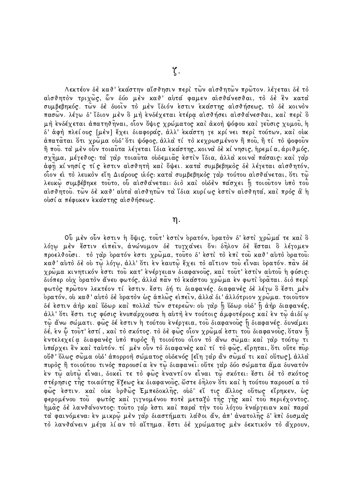Λεκτέον δὲ καθ' Έκαστην αἴσθησιν περὶ τῶν αἰσθητῶν πρῶτον. λέγεται δὲ τὸ αίσθητόν τριχώς, ὧν δύο μέν καθ' αύτα φαμεν αισθανεσθαι, τό δέ έν κατα συμβεβηκός. τών δέ δυοίν το μέν Ίδιόν έστιν εκάστης αισθήσεως, το δέ κοινον πασών. λέγω δ' Ίδιον μέν δ μη ενδέχεται ετέρα αισθήσει αισθάνεσθαι, και περί δ μη ενδέχεται άπατηθηναι, οΐον όψις χρώματος και άκοη ψόφου και γεύσις χυμού, η δ' άφη πλεί ους [μέν] ἔχει διαφοράς, άλλ' εκάστη γε κρί νει περι τούτων, και ούκ άπαταται ότι χρώμα ουδ' ότι ψόφος, άλλα τί το κεχρωσμένον ή που, ή τί το ψοφουν ή που. τα μέν ούν τοιαυτα λέγεται Ίδια έκαστης, κοινα δε κί νησις, ήρεμία, άριθμός, σχῆμα, μέγεθος: τα γαρ τοιαύτα ουδεμιάς εστιν Ίδια, άλλα κοινα πάσαις: και γαρ άφη κίνησίς τίς έστιν αισθητή και όψει κατα συμβεβηκος δε λέγεται αισθητόν, οίον εί το λευκόν είη Διάρους υίός: κατα συμβεβηκός γαρ τούτου αισθάνεται, ότι τώ λευκώ συμβέβηκε τούτο, ού αισθανεται: διο και ούδεν πασχει ή τοιούτον υπο του αισθητού. τών δέ καθ' αυτα αισθητών τα ίδια κυρί ως εστιν αισθητά, και προς α η ούσία πέφυκεν εκάστης αισθήσεως.

### $\eta$ .

Οΰ μέν οὖν έστιν ή ὄψις, τοῦτ' έστιν δρατόν, δρατον δ' έστι χρώμά τε και δ λόγω μέν έστιν ειπείν, άνώνυμον δε τυγχανει όν: δηλον δε έσται δ λέγομεν προελθούσι. τὸ γαρ δρατόν έστι χρώμα, τούτο δ' έστι τὸ έπι του καθ' αυτὸ δρατου: καθ' αυτό δε ου τῷ λόγψ, ἀλλ' ὅτι 'εν εαυτῷ έχει τὸ αἴτιον τοῦ εἶναι δρατόν. πᾶν δε χρώμα κινητικόν έστι του κατ' ένέργειαν διαφανους, και τουτ' έστιν αυτου ή φύσις: διόπερ ούχ δρατον άνευ φωτός, άλλα παν το εκαστου χρωμα εν φωτι δραται. διο περι φωτός πρώτον λεκτέον τί 'εστιν. έστι δή τι διαφανές. διαφανές δε λέγω δ έστι μεν δρατόν, ου καθ' αυτό δέ δρατόν ως άπλως ειπείν, άλλα δι' άλλότριον χρώμα. τοιούτον δέ έστιν άηρ και ύδωρ και πολλα τῶν στερεῶν: οὐ γαρ ῇ ὕδωρ οὐδ' ῇ ἀηρ διαφανές, άλλ' δτι έστι τις φύσις ενυπάρχουσα ή αύτη εν τούτοις άμφοτέροις και εν τῷ ἀιδί ψ τῷ ἄνω σώματι. φῶς δέ 'εστιν ἡ τούτου 'ενέργεια, τοῦ διαφανοῦς ῇ διαφανές. δυνάμει δέ, εν ὧ τοῦτ' εστί, και τὸ σκότος. τὸ δε φῶς οἱον χρῶμα εστι τοῦ διαφανοῦς, ὅταν ἦ έντελεχεία διαφανές υπό πυρός ἢ τοιούτου οἷον τὸ ἄνω σῶμα: καὶ γαρ τούτω τι υπάρχει εν και ταυτόν. τί μεν ούν το διαφανες και τί το φως, είρηται, ότι ούτε πυρ οὔθ' δλως σῶμα οὐδ' ἀπορροὴ σώματος οὐδενός [εἴη γαρ ἀν σῶμα τι και οὕτως], ἀλλα πυρός ή τοιούτου τινός παρουσία έν τώ διαφανεί: ούτε γαρ δύο σώματα άμα δυνατόν ἐν τῷ αὐτῷ εἶναι, δοχεῖ τε τὸ φῶς ἐναντίον εἶναι τῷ σχότει: ἔστι δὲ τὸ σχότος στέρησις της τοιαύτης έξεως έκ διαφανούς, ώστε δηλον ότι και ή τούτου παρουσία το φως εστιν. και ούκ ορθως Έμπεδοκλης, ούδ' εί τις άλλος ούτως είρηκεν, ως φερομένου του φωτός και γιγνομένου ποτέ μεταξύ της γης και του περιέχοντος, ήμας δε λανθανοντος: τούτο γαρ εστι και παρα την του λόγου εναργειαν και παρα τα φαινόμενα: εν μικρώ μεν γαρ διαστήματι λάθοι άν, άπ' άνατολης δ' επι δυσμας τό λανθάνειν μέγα λίαν το αΐτημα. έστι δέ χρώματος μέν δεκτικόν το άχρουν,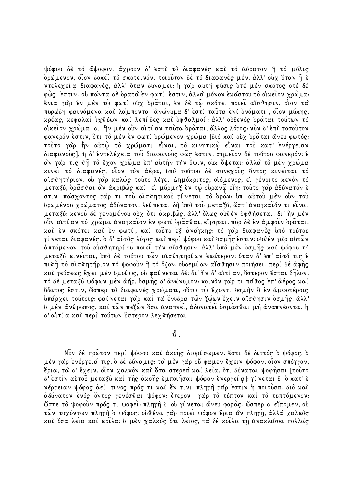ψόφου δέ τὸ ἄψοφον. ἄχρουν δ' έστι τὸ διαφανές και τὸ ἀόρατον ἢ τὸ μόλις δρώμενον, οἷον δοκεἶ τὸ σκοτεινόν, τοιοῦτον δὲ τὸ διαφανὲς μέν, ἀλλ' οὐχ ὅταν ἦ ἐ ντελεχεία διαφανές, άλλ' δταν δυνάμει: ή γαρ αύτη φύσις δτε μεν σκότος δτε δε φώς 'εστιν. ού πάντα δε δρατα' εν φωτί 'εστιν, άλλα' μόνον εκάστου το οίκειον χρώμα: ένια γαρ εν μεν τῷ φωτὶ οὐχ δρᾶται, εν δε τῷ σκότει ποιεἶ αἴσθησιν, οἶον τα πυρώδη φαινόμενα και λάμποντα [άνώνυμα δ' εστι ταυτα ενι ονόματι], οίον μύκης, κρέας, κεφαλαί ίχθύων και λεπίδες και οφθαλμοί: άλλ' ουδενός δράται τούτων το οικείον χρώμα. δι' ήν μέν οὖν αιτί αν ταῦτα δρᾶται, ἄλλος λόγος: νῦν δ' ἐπι τοσοῦτον φανερόν έστιν, ότι τὸ μεν εν φωτὶ δρώμενον χρῶμα [διὸ καὶ οὐχ δρᾶται ἄνευ φωτός: τούτο γαρ ήν αύτώ το χρώματι είναι, το κινητικώ είναι του κατ' ενέργειαν διαφανούς], η δ' εντελέχεια του διαφανούς φως εστιν. σημείον δε τούτου φανερόν: ε αν γάρ τις θη το έχον χρώμα επ' αύτην την όψιν, ούκ όψεται: άλλα το μεν χρώμα κινεί το διαφανές, οίον τον άέρα, υπο τούτου δε συνεχούς όντος κινείται το αίσθητήριον. ού γαρ καλώς τούτο λέγει Δημόκριτος, οιόμενος, ει γένοιτο κενόν το μεταξύ, δρασθαι άν άκριβως και εί μύρμηξ εν τω ουρανω είη: τουτο γαρ άδύνατόν ε στιν. πάσχοντος γάρ τι τοῦ αἰσθητικοῦ γίνεται τὸ ὁραν: ὑπ' αὐτοῦ μὲν οὖν τοῦ δρωμένου χρώματος άδύνατον: λεί πεται δη υπο τοῦ μεταξύ, ὥστ' ἀναγκαἶόν τι εἶναι μεταξύ: κενού δε γενομένου ούχ ότι άκριβώς, άλλ' όλως ούθεν οφθήσεται. δι' ην μεν οὖν αιτίαν τὸ χρῶμα ἀναγκαῖον ἐν φωτὶ ὁρᾶσθαι, εἴρηται. πῦρ δὲ ἐν ἀμφοῖν ὁρᾶται, καί έν σκότει καί έν φωτί, καί τούτο έξ άνάγκης: το γαρ διαφανές ύπο τούτου γί νεται διαφανές. δ δ' αύτδς λόγος και περι ψόφου και δσμής εστιν: ούθεν γαρ αυτών άπτόμενον του αίσθητηρί ου ποιεί την αΐσθησιν, άλλ' υπό μεν όσμης και ψόφου το μεταξύ κινείται, ύπό δέ τούτου των αίσθητηρίων εκάτερον: δταν δ' έπ' αύτό τις έ πιθῆ τὸ αισθητήριον τὸ ψοφοῦν ἢ τὸ ὄζον, οὐδεμί αν αἴσθησιν ποιήσει. περὶ δὲ ἁφῆς και γεύσεως έχει μεν δμοίως, ου φαί νεται δέ: δι' ην δ' αιτί αν, ύστερον έσται δηλον. τὸ δὲ μεταξύ ψόφων μὲν ἀήρ, ὀσμής δ' ἀνώνυμον: κοινὸν γάρ τι πάθος ἐπ' ἀέρος καὶ Όδατος έστιν, ώσπερ το διαφανές χρώματι, ούτω τω έχοντι οσμήν δ εν αμφοτέροις υπάρχει τούτοις: φαί νεται γαρ και τα ένυδρα τῶν ζώων έχειν αἴσθησιν ὀσμῆς. ἀλλ' δ μεν άνθρωπος, και των πεζων δσα άναπνει, άδυνατει οσμασθαι μη άναπνέοντα. η δ' αίτί α και περι τούτων ύστερον λεχθήσεται.

 $\vartheta$ .

Νὖν δὲ πρῶτον περὶ ψόφου καὶ ἀκοῆς διορίσωμεν. ἔστι δὲ διττὸς ὁ ψόφος: ὁ μέν γαρ ενέργεια τις, ο δε δύναμις: τα μέν γαρ ού φαμεν έχειν ψόφον, οίον σπόγγον, έρια, τα δ' έχειν, οἷον χαλκον και δσα στερεα και λεία, δτι δύναται ψοφησαι [τοῦτο δ' εστιν αύτου μεταξύ και της άκοης εμποιήσαι ψόφον ενεργεί α]: γίνεται δ' ο κατ' ε νέργειαν ψόφος άεί τινος πρός τι και έν τινι: πληγή γάρ εστιν ή ποιούσα. διο και άδύνατον ενός όντος γενέσθαι ψόφον: έτερον γαρ το τύπτον και το τυπτόμενον: ώστε τὸ ψοφοῦν πρός τι ψοφεἶ: πληγὴ δ' οὐ γίνεται άνευ φορᾶς. ὥσπερ δ' εἴπομεν, οὐ τῶν τυχόντων πληγή ὁ ψόφος: οὐθένα γαρ ποιεἶ ψόφον ἔρια ἀν πληγῆ, ἀλλα χαλκὸς και όσα λεία και κοίλα: ο μεν χαλκος ότι λείος, τα δε κοίλα τη ανακλάσει πολλας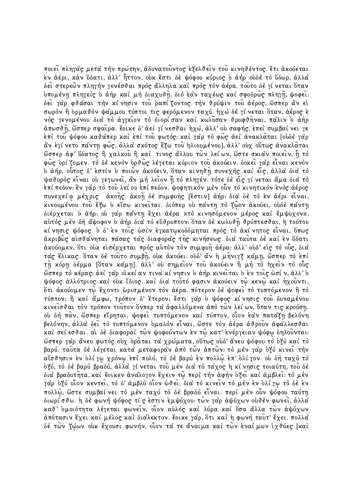ποιεί πληγας μετα την πρώτην, άδυνατούντος εξελθείν του κινηθέντος. έτι ακούεται έν άέρι, κάν ὕδατι, άλλ' ἧττον, οὐκ ἔστι δὲ ψόφου κύριος ὁ ἀὴρ οὐδὲ τὸ ὕδωρ, ἀλλα δει στερεών πληγήν γενέσθαι πρός άλληλα καί πρός τόν άέρα τουτο δέ γί νεται όταν υπομένη πληγείς ο άηρ και μη διαχυθη. διο εαν ταχέως και σφοδρώς πληγη, ψοφεί: δεί γαρ φθάσαι την κίνησιν του ραπίζοντος την θρύψιν του άέρος, ώσπερ άν εί σωρόν ή δρμαθόν ψαμμου τύπτοι τις φερόμενον ταχύ. ήχω δέ γίνεται δταν, άέρος ε νός γενομένου δια το άγγείον το διορίσαν και κωλύσαν θρυφθηναι, πάλιν ο άηρ άπωσθη̃, ὥσπερ σφαϊρα. ἔοικε δ' ἀεὶ γί νεσθαι ἠχώ, ἀλλ' οὐ σαφής, ἐπεὶ συμβαί νει γε έπὶ τοῦ ψόφου καθάπερ καὶ ἐπὶ τοῦ φωτός: καὶ γαρ τὸ φῶς ἀεὶ ἀνακλᾶται [οὐδὲ γαρ άν εγίνετο πάντη φώς, άλλα σκότος έξω του ηλιουμένου], άλλ' ούχ ούτως άνακλαται ώσπερ άφ' ύδατος ή χαλκού ή καί τινος άλλου τών λεί ων, ώστε σκιαν ποιείν, ή το φώς δρί ζομεν. τὸ δὲ κενὸν ὀρθώς λέγεται κύριον τοῦ ἀκούειν. δοκεῖ γαρ εἶναι κενὸν δ άήρ, οὗτος δ' ἐστὶν ὁ ποιῶν ἀκούειν, ὅταν κινηθῆ συνεχὴς καὶ εἶς. ἀλλα δια τὸ ψαθυρὸς εἶναι οὐ γεγωνει, ἀν μὴ λειον ἦ τὸ πληγέν. τότε δὲ είς γίνεται άμα δια τὸ έπί πεδον: ἓν γαρ τὸ τοῦ λεί ου ἐπί πεδον. ψοφητικὸν μὲν οὖν τὸ κινητικὸν ἑνὸς ἀέρος συνεχεία μέχρις άκοης άκοη δε συμφυης [έστιν] άήρ: δια δε το εν άέρι είναι, κινουμένου του έξω ο είσω κινειται. διόπερ ού πάντη το ζωον ακούει, ούδε πάντη διέρχεται ο άήρ: ού γαρ πάντη έχει άέρα «το κινησόμενον μέρος και έμψυχον». αύτος μέν δη άψοφον δ άηρ δια το εύθρυπτον: όταν δε κωλυθη θρύπτεσθαι, η τούτου κίνησις ψόφος ο δ'εν τοις ώσιν εγκατωκοδόμηται προς το άκίνητος είναι, όπως άκριβώς αισθάνηται πάσας τας διαφορας της κινήσεως. δια ταύτα δε και εν ύδατι άκούομεν, ότι ούκ εισέρχεται πρός αυτόν τον συμφυη άέρα: άλλ' ουδ' εις το ούς, δια τας έλικας. δταν δε τούτο συμβη, ούκ ακούει: ούδ' αν η μηνιγζ καμη, ώσπερ το επι τη κόρη δέρμα [όταν κάμη]. άλλ' ου σημείον του άκούειν ή μη το ήχειν το ούς ώσπερ το κέρας: άει γαρ οικεί αν τινα κί νησιν ο αήρ κινειται ο εν τοις ωσίν, άλλ' ο ψόφος άλλότριος και ουκ ίδιος και δια τουτό φασιν άκούειν τω κενω και ήχουντι, δτι άκούομεν τῷ ἔχοντι ὡρισμένον τὸν ἀέρα πότερον δὲ ψοφεῖ τὸ τυπτόμενον ἢ τὸ τύπτον; ἢ καὶ ἄμφω, τρόπον δ' ἕτερον; ἔστι γαρ ὁ ψόφος κίνησις τοῦ δυναμένου κινείσθαι τον τρόπον τούτον δνπερ τα άφαλλόμενα άπο των λεί ων, δταν τις κρούση. ού δη παν, ώσπερ εἴρηται, ψοφεἶ τυπτόμενον καὶ τύπτον, οἶον ἐαν παταξη βελόνη βελόνην, άλλα δεἶ τὸ τυπτόμενον δμαλὸν εἶναι, ὥστε τὸν ἀέρα ἀθροῦν ἀφαλλεσθαι καί σεί εσθαι. αί δέ διαφοραί των ψοφούντων έν τω κατ' ενέργειαν ψόφω δηλούνται: ώσπερ γαρ άνευ φωτος ούχ δραται τα χρώματα, ούτως ούδ' άνευ ψόφου το όζυ και το βαρύ. ταῦτα δὲ λέγεται κατα μεταφοραν ἀπὸ τῶν ἁπτῶν: τὸ μὲν γαρ ὀζὺ κινεἶ τὴν αΐσθησιν έν ολίγω χρόνω επι πολύ, το δε βαρύ έν πολλώ επ' ολίγον. ού δη ταχύ το όζύ, τὸ δὲ βαρὺ βραδύ, ἀλλα γίνεται τοῦ μὲν δια τὸ τάχος ἡ κίνησις τοιαύτη, τοῦ δὲ δια βραδυτήτα, και έοικεν αναλογον έχειν τω περι την άφην οξει και αμβλει: το μεν γαρ όζυ οἷον κεντεἶ, τὸ δ' ἀμβλυ οἷον ὡθεἶ, δια τὸ κινεἶν τὸ μὲν ἐν ὀλίγῳ τὸ δὲ ἐν πολλώ, ώστε συμβαίνει το μεν ταχύ το δε βραδύ είναι περί μεν ούν ψόφου ταύτη διωρί σθω. η δέ φωνη ψόφος τίς εστιν εμψύχου: τῶν γαρ αψύχων οὐθεν φωνεῖ, ἀλλα καθ' δμοιότητα λέγεται φωνείν, οίον αύλος και λύρα και δσα άλλα των αψύχων άπότασιν έχει και μέλος και διάλεκτον. έοικε γάρ, ότι και ή φωνη ταυτ' έχει. πολλα δὲ τῶν ζώων οὐκ ἔχουσι φωνήν, οἶον τα τε ἄναιμα καὶ τῶν ἐναίμων ἰχθύες [καὶ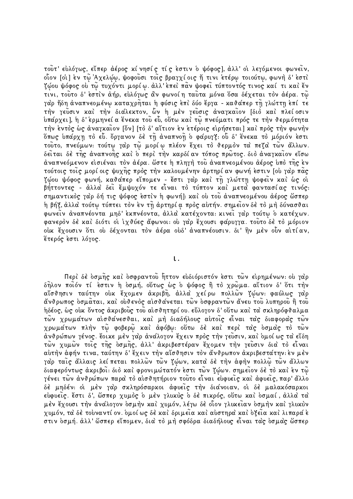τούτ' εύλόγως, είπερ άέρος κίνησίς τίς έστιν ο ψόφος], άλλ' οι λεγόμενοι φωνείν, οΐον [οί] έν τῷ Ἀχελώω, ψοφοῦσι τοἶς βραγχίοις ἤ τινι ετέρω τοιούτω, φωνη δ' εστὶ ζώου ψόφος ού τώ τυχόντι μορίω. άλλ'επεί παν ψοφεί τύπτοντός τινος καί τι και έν τινι, τούτο δ' έστιν άήρ, ευλόγως άν φωνοίη ταύτα μόνα όσα δέχεται τον άέρα τω γαρ ήδη αναπνεομένω καταχρηται η φύσις επι δύο έργα - καθάπερ τη γλώττη επί τε τήν γεύσιν και τήν διάλεκτον, ὧν ή μεν γεύσις άναγκαιον [διο και πλεί οσιν υπάρχει], η δ' ερμηνεί α ένεκα του εύ, ούτω και τω πνεύματι πρός τε την θερμότητα την εντός ως αναγκαίον [όν] [το δ' αίτιον εν ετέροις ειρήσεται] και προς την φωνην δπως υπάρχη το εύ. όργανον δε τη αναπνοη δ φάρυγζ: ού δ' ένεκα το μόριόν έστι τούτο, πνεύμων: τούτω γαρ τώ μορίω πλέον έχει το θερμον τα πεζα τών άλλων. δείται δε της άναπνοης και ο περι την καρδίαν τόπος πρώτος διο άναγκαιον είσω άναπνεόμενον είσιέναι τον άέρα. ὥστε ή πληγή του άναπνεομένου άέρος υπο της εν τούτοις τοις μορί οις ψυχης πρός την καλουμένην άρτηρί αν φωνή εστιν [ού γαρ πας ζώου ψόφος φωνή, καθάπερ είπομεν - έστι γαρ και τη γλώττη ψοφείν και ως οί βήττοντες - άλλα δει έμψυχόν τε είναι το τύπτον και μετα φαντασίας τινός: σημαντικός γαρ δή τις ψόφος έστιν η φωνή !: και ού του άναπνεομένου άέρος ώσπερ η βήζ, άλλα τούτω τύπτει τον έν τη άρτηρία προς αύτήν. σημείον δε το μη δύνασθαι φωνείν άναπνέοντα μηδ' εκπνέοντα, άλλα κατέχοντα: κινεί γαρ τούτω δ κατέχων. φανερόν δέ και διότι οι ιχθύες άφωνοι: ου γαρ έχουσι φαρυγγα. τουτο δε το μόριον ούκ έχουσιν ότι ού δέχονται τον άέρα ούδ' άναπνέουσιν. δι' ην μέν ούν αίτίαν, έτερός έστι λόγος.

#### ι.

Περί δε όσμης και όσφραντου ήττον ευδιόριστόν εστι των ειρημένων: ου γαρ δηλον ποιόν τί 'εστιν ή 'οσμή, ούτως ώς ο ψόφος ή το χρώμα. αίτιον δ' ότι την αἴσθησιν ταύτην οὐκ ἔχομεν ἀκριβῆ, ἀλλα χείρω πολλῶν ζώων: φαύλως γαρ άνθρωπος όσμαται, και ούθενος αισθανεται των οσφραντων άνευ του λυπηρού ή του ήδέος, ώς ούκ ὄντος ἀκριβοῦς τοῦ αἰσθητηρί ου. εὕλογον δ' οὕτω καὶ τα σκληρόφθαλμα τών χρωμάτων αισθάνεσθαι, και μή διαδήλους αυτοίς είναι τας διαφορας τών χρωμάτων πλήν τῷ φοβερῷ καὶ ἀφόβῳ: οὕτω δὲ καὶ περὶ τας ὀσμας τὸ τῶν άνθρώπων γένος. έοικε μέν γαρ άναλογον έχειν πρός την γεύσιν, και όμοί ως τα είδη τῶν χυμῶν τοἶς τῆς ὀσμῆς, ἀλλ' ἀκριβεστέραν ἔχομεν τὴν γεὖσιν δια τὸ εἶναι αύτην άφήν τινα, ταύτην δ' έχειν την αΐσθησιν τον άνθρωπον ακριβεστάτην: εν μεν γαρ ταις άλλαις λεί πεται πολλων των ζώων, κατα δε την άφην πολλω των άλλων διαφερόντως άκριβοι: διὸ καὶ φρονιμώτατόν εστι των ζώων. σημειον δε τὸ καὶ εν τῷ γένει τῶν ἀνθρώπων παρα τὸ αισθητήριον τοῦτο εἶναι εὐφυεῖς και ἀφυεῖς, παρ' ἄλλο δέ μηδέν: οί μέν γαρ σκληρόσαρκοι άφυείς την διάνοιαν, οί δέ μαλακόσαρκοι εύφυείς. έστι δ', ώσπερ χυμός ο μέν γλυκύς ο δέ πικρός, ούτω και όσμαί, άλλα τα μέν έχουσι την άναλογον όσμην και χυμόν, λέγω δε οίον γλυκειαν όσμην και γλυκυν χυμόν, τα δέ τούναντί ον. δμοί ως δέ και δριμεία και αυστηρα και οξεία και λιπαρά ε στιν όσμή. άλλ' ὥσπερ εἴπομεν, δια τὸ μὴ σφόδρα διαδήλους εἶναι τας οσμας ὥσπερ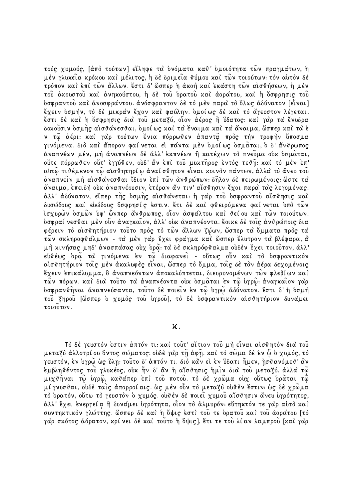τούς χυμούς, [άπο τούτων] είληφε τα ονόματα καθ' δμοιότητα των πραγμάτων, ή μέν γλυκεία κρόκου και μέλιτος, η δε δριμεία θύμου και των τοιούτων: τον αυτον δε τρόπον και έπι τῶν ἄλλων. ἔστι δ' ὥσπερ ἡ ἀκοὴ και ἑκαστη τῶν αισθήσεων, ἡ μεν του άκουστου και άνηκούστου, η δε του δρατού και άοράτου, και η όσφρησις του όσφραντοῦ καὶ ἀνοσφράντου. ἀνόσφραντον δὲ τὸ μὲν παρα τὸ ὅλως ἀδύνατον [εἶναι] έχειν οσμήν, το δέ μικραν έχον και φαύλην. δμοίως δε και το άγευστον λέγεται. έστι δε και ή ὄσφρησις δια του μεταξύ, οίον άέρος ή ὕδατος: και γαρ τα ένυδρα δοκούσιν όσμης αισθάνεσθαι, όμοί ως και τα έναιμα και τα άναιμα, ώσπερ και τα ε ν τῷ ἀέρι: καὶ γαρ τούτων ἔνια πόρρωθεν ἀπαντῷ πρὸς τὴν τροφὴν ὕποσμα γινόμενα. διό και άπορον φαίνεται ει πάντα μεν δμοίως οσμαται, δ δ' άνθρωπος άναπνέων μέν, μή άναπνέων δέ άλλ' εκπνέων ή κατέχων το πνεύμα ούκ οσμάται, ούτε πόρρωθεν ούτ' έγγύθεν, ούδ' άν έπι του μυκτήρος εντός τεθη: και το μέν έπ' αύτῷ τιθέμενον τῷ αισθητηρί ῳ ἀναί σθητον εἶναι κοινὸν παντων, ἀλλα τὸ ἄνευ τοῦ άναπνείν μή αισθάνεσθαι Ίδιον 'επι' τῶν ἀνθρώπων: δηλον δε πειρωμένοις: ὥστε τα άναιμα, επειδή ούκ άναπνέουσιν, ετέραν άν τιν' αίσθησιν έχοι παρα τας λεγομένας. άλλ' άδύνατον, είπερ της όσμης αισθάνεται: ή γαρ του όσφραντου αίσθησις και δυσώδους και ευώδους όσφρησίς εστιν. έτι δε και φθειρόμενα φαίνεται υπό των ισχυρῶν ὀσμῶν ὑφ' ὧνπερ ἄνθρωπος, οἷον ἀσφάλτου καὶ θείου καὶ τῶν τοιούτων. όσφραί νεσθαι μέν οὖν άναγκαῖον, ἀλλ' οὐκ ἀναπνέοντα. ἔοικε δὲ τοῖς ἀνθρώποις δια φέρειν το αισθητήριον τούτο προς το των άλλων ζώων, ώσπερ τα όμματα προς τα τῶν σκληροφθαλμων - τα μεν γαρ έχει φραγμα και ὥσπερ έλυτρον τα βλέφαρα, α μή κινήσας μηδ' άνασπάσας ούχ δρα: τα δε σκληρόφθαλμα ούδεν έχει τοιούτον, άλλ' εύθέως δρά τα γινόμενα εν τώ διαφανεί - ούτως ούν και το οσφραντικον αισθητήριον τοις μέν άκαλυφές είναι, ώσπερ το όμμα, τοις δέ τον άέρα δεχομένοις έχειν επικαλυμμα, δ αναπνεόντων αποκαλύπτεται, διευρυνομένων τῶν φλεβίων καὶ των πόρων και δια τουτο τα αναπνέοντα ουκ οσμαται εν τω υγρω: αναγκαίον γαρ όσφρανθῆναι ἀναπνεύσαντα, τοῦτο δὲ ποιεἶν ἐν τῷ ὑγρῷ ἀδύνατον. ἔστι δ' ἡ ὀσμή του ζηρου [ώσπερ ο χυμος του υγρου], το δε οσφραντικον αισθητήριον δυναμει τοιούτον.

## κ.

Τὸ δὲ γευστόν 'εστιν άπτόν τι: και τοῦτ' αἴτιον τοῦ μὴ εἶναι αισθητον δια τοῦ μεταξύ άλλοτρί ου όντος σώματος: ούδε γαρ τη άφη. και το σώμα δε εν ὧ δ χυμός, το γευστόν, έν υγρώ ως ύλη: τούτο δ' άπτόν τι. διό κάν εί έν ύδατι ήμεν, ησθανόμεθ' άν .<br>εμβληθέντος τοῦ γλυκέος, οὐκ ἦν δ' ἀν ἡ αἴσθησις ἡμῖν δια τοῦ μεταξύ, ἀλλα τῷ μιχθηναι τώ υγρώ, καθάπερ επι του ποτού. το δε χρώμα ουχ ούτως δράται τώ μί γνυσθαι, ούδέ ταις άπορροί αις. ώς μέν ούν το μεταξύ ούθεν έστιν: ώς δέ χρωμα τὸ ὁρατόν, ούτω τὸ γευστὸν ὁ χυμός. οὐθεν δε ποιεἶ χυμοῦ αἴσθησιν άνευ ὑγρότητος, άλλ' ἔχει ἐνεργεί α ἢ δυναμει ὑγρότητα, οἶον τὸ ἁλμυρόν: εὔτηκτόν τε γαρ αὐτὸ καὶ συντηκτικόν γλώττης. ώσπερ δέ και ή όψις έστι του τε δρατού και του άοράτου [το γαρ σκότος άόρατον, κρίνει δε και τούτο ή όψις], έτι τε του λίαν λαμπρού [και γαρ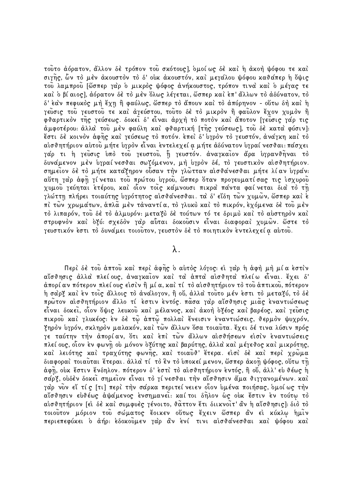τούτο άόρατον, άλλον δέ τρόπον του σκότους], όμοί ως δέ και ή άκοη ψόφου τε και σιγης, ὧν το μέν άκουστον το δ' ούκ άκουστόν, και μεγάλου ψόφου καθάπερ η όψις του λαμπρού [ώσπερ γαρ ο μικρός ψόφος άνήκουστος, τρόπον τινα και ο μέγας τε καί ο βίαιος], άόρατον δέ το μέν δλως λέγεται, ώσπερ και επ' άλλων το άδύνατον, το δ' εαν πεφυκός μή έχη ή φαύλως, ώσπερ το άπουν και το άπύρηνον - ούτω δη και ή γεύσις του γευστού τε και άγεύστου, τούτο δε το μικρον ή φαύλον έχον χυμον ή φθαρτικόν της γεύσεως. δοκεί δ' είναι άρχη τό ποτόν και άποτον [γεύσις γάρ τις άμφοτέρου: άλλα του μέν φαύλη και φθαρτική [της γεύσεως], του δε κατα φύσιν]: έστι δέ κοινόν άφης και γεύσεως το ποτόν. επει δ' υγρον το γευστόν, άνάγκη και το αισθητήριον αυτού μήτε υγρον είναι εντελεχεί α μήτε αδύνατον υγραί νεσθαι: πάσχει γάρ τι ή γεύσις ύπο του γευστου, ή γευστόν, άναγκαιον άρα υγρανθηναι το δυνάμενον μέν υγραίνεσθαι σωζόμενον, μη υγρόν δέ, το γευστικον αισθητήριον. σημείον δέ το μήτε κατάζηρον ούσαν την γλώτταν αισθάνεσθαι μήτε λίαν υγράν: αύτη γαρ άφη γίνεται του πρώτου υγρου, ώσπερ δταν προγευματίσας τις ισχυρου χυμού γεύηται έτέρου, και οίον τοις κάμνουσι πικρα πάντα φαίνεται δια το τη γλώττη πλήρει τοιαύτης υγρότητος αισθάνεσθαι. τα δ' είδη των χυμων, ώσπερ και ε πι τῶν χρωμάτων, άπλᾶ μεν τάναντία, το γλυκύ και το πικρόν, εχόμενα δε τοῦ μεν τό λιπαρόν, του δέ το άλμυρόν: μεταξύ δέ τούτων τό τε δριμύ και το αυστηρον και στρυφνόν καὶ ὀζύ: σχεδόν γαρ αὗται δοκοῦσιν εἶναι διαφοραὶ χυμῶν. ὥστε τὸ γευστικόν 'εστι το δυνάμει τοιούτον, γευστον δε το ποιητικον 'εντελεχεί α αύτου.

# $\lambda$ .

Περὶ δὲ τοῦ ἁπτοῦ καὶ περὶ ἁφῆς ὁ αὐτὸς λόγος: εἰ γαρ ἡ ἁφὴ μὴ μία ἐστὶν αΐσθησις άλλα πλείους, άναγκαιον και τα άπτα αισθητα πλείω είναι. έχει δ' άπορί αν πότερον πλεί ους είσιν ή μί α, και τί το αισθητήριον το του άπτικου, πότερον η σαρζ και έν τοις άλλοις το άναλογον, ή ού, άλλα τούτο μέν εστι το μεταζύ, το δε πρώτον αισθητήριον άλλο τί έστιν έντός. πασα γαρ αΐσθησις μιας εναντιώσεως εἶναι δοκεἶ, οἶον ὄψις λευκοῦ καὶ μέλανος, καὶ ἀκοὴ ὀξέος καὶ βαρέος, καὶ γεὖσις πικρού και γλυκέος: έν δε τώ άπτώ πολλαι ένεισιν εναντιώσεις, θερμον ψυχρόν, ζηρόν ύγρόν, σκληρόν μαλακόν, και των άλλων δσα τοιαύτα. έχει δέ τινα λύσιν πρός γε ταύτην την άπορίαν, ότι και επι των άλλων αισθήσεων εισιν εναντιώσεις πλεί ους, οίον έν φωνη ού μόνον όζύτης και βαρύτης, άλλα και μέγεθος και μικρότης, καί λειότης καί τραχύτης φωνῆς, καί τοιαΰθ' έτερα. είσι δέ καί περί χρώμα διαφοραί τοιαύται έτεραι. άλλα τί το εν το υποχεί μενον, ώσπερ άχοη ψόφος, ούτω τη άφη, ούκ έστιν ένδηλον. πότερον δ' έστι το αισθητήριον εντός, ή ού, άλλ' ευ θέως η σάρζ, ουδέν δοκεί σημείον είναι το γίνεσθαι την αίσθησιν άμα θιγγανομένων. και γαρ νύν εί τίς [τι] περι την σάρκα περιτεί νειεν οίον υμένα ποιήσας, ομοί ως την αΐσθησιν εύθέως άψαμενος ενσημανεί: καί τοι δήλον ως ούκ έστιν εν τούτω το αισθητήριον [ει δε και συμφυές γένοιτο, θαττον έτι διικνοϊτ' άν η αίσθησις]: διο το τοιούτον μόριον τού σώματος έοικεν ούτως έχειν ώσπερ άν εί κύκλω ημίν περιεπεφύχει δ άήρ: εδοχούμεν γαρ άν ενί τινι αισθάνεσθαι χαι ψόφου χαι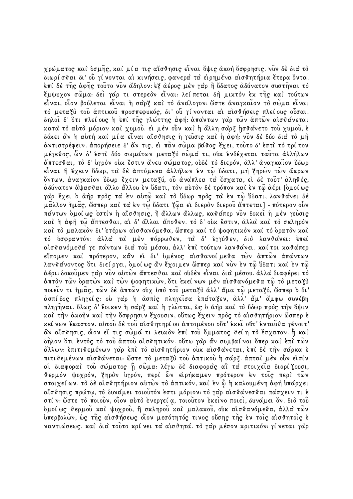χρώματος και όσμης, και μία τις αίσθησις είναι όψις άκοη όσφρησις. νύν δε δια το διωρί σθαι δι' ού γί νονται αι κινήσεις, φανερα τα ειρημένα αισθητήρια έτερα όντα. έπι δε της άφης τούτο νύν άδηλον: εξ άέρος μεν γαρ ή ύδατος άδύνατον συστηναι το έμψυχον σῶμα: δεἶ γάρ τι στερεὸν εἶναι: λεί πεται δή μικτὸν 'εκ τῆς καὶ τούτων εἶναι, οἶον βούλεται εἶναι ἡ σαρζ και το αναλογον: ὥστε αναγκαῖον το σῶμα εἶναι τὸ μεταξὺ τοῦ ἁπτικοῦ προσπεφυκός, δι' οὗ γίνονται αί αισθήσεις πλεί ους οὖσαι. δηλοί δ' δτι πλεί ους ή επι της γλώττης άφή: άπαντων γαρ των άπτων αισθανεται κατα το αυτο μόριον και χυμου. ει μεν ούν και η άλλη σαρξ ησθανετο του χυμου, ε δόκει άν ή αύτη και μία εἶναι αἴσθησις ή γεῦσις και ἡ ἀφή: νῦν δε δύο δια το μη άντιστρέφειν. άπορήσειε δ' άν τις, ει παν σώμα βάθος έχει, τουτο δ' εστι το τρί τον μέγεθος, ὧν δ' έστὶ δύο σωμάτων μεταξὺ σὦμά τι, οὐκ ἐνδέχεται ταῦτα ἀλλήλων άπτεσθαι, το δ' ύγρον ούκ έστιν άνευ σώματος, ούδε το διερόν, άλλ' αναγκαίον ύδωρ εἶναι ἢ ἔχειν ὕδωρ, τα δὲ ἁπτόμενα ἀλλήλων ἐν τῷ ὕδατι, μὴ ξηρῶν τῶν ἄκρων ὄντων, ἀναγκαῖον ὕδωρ ἔχειν μεταξύ, οὗ ἀνάπλεα τα ἔσχατα, εἰ δὲ τοῦτ' ἀληθές, άδύνατον άψασθαι άλλο άλλου εν ύδατι, τον αυτον δε τρόπον και εν τῷ ἀέρι [δμοί ως γαρ έχει ο άηρ προς τα εν αυτώ και το ύδωρ προς τα εν τώ ύδατι, λανθάνει δε μᾶλλον ἡμᾶς, ὥσπερ καὶ τὰ ἐν τῷ ὕδατι ζῷα εἰ διερὸν διεροῦ ἄπτεται] - πότερον οὖν πάντων δμοί ως 'εστιν ή αΐσθησις, ή άλλων άλλως, καθάπερ νύν δοκεί ή μεν γεύσις καὶ ἡ ἁφὴ τῷ ἅπτεσθαι, αἱ δ' ἄλλαι ἄποθεν. τὸ δ' οὐκ ἔστιν, ἀλλα καὶ τὸ σκληρὸν καί το μαλακόν δι' έτέρων αισθανόμεθα, ώσπερ και το ψοφητικον και το δρατον και το οσφραντόν: άλλα τα μέν πόρρωθεν, τα δ' εγγύθεν, διο λανθάνει: επει αισθανόμεθα γε παντων δια του μέσου, άλλ'επι τούτων λανθανει καί τοι καθαπερ είπομεν και πρότερον, κάν ει δι' υμένος αισθανοί μεθα των απτων απάντων λανθάνοντος ότι διείργει, δμοίως άν έχοιμεν ώσπερ και νύν εν τῷ ὕδατι και εν τῷ άέρι: δοκοῦμεν γαρ νῦν αὐτῶν ἄπτεσθαι καὶ οὐδὲν εἶναι δια μέσου. ἀλλα διαφέρει τὸ άπτον των δρατών και των ψοφητικών, ότι εκεί νων μεν αισθανόμεθα τω το μεταξυ ποιείν τι ήμας, των δὲ ἁπτῶν οὐχ ὑπὸ τοῦ μεταξὺ ἀλλ' ἄμα τῷ μεταξύ, ὥσπερ ὁ δι' άσπίδος πληγείς: ού γαρ ή άσπις πληγείσα επάταξεν, άλλ' άμ' άμφω συνέβη πληγήναι. δλως δ' έοικεν ή σαρξ και ή γλώττα, ώς ο άηρ και το ύδωρ προς την όψιν και την άκοην και την όσφρησιν έχουσιν, ούτως έχειν προς το αισθητήριον ώσπερ ε κεί νων έκαστον. αύτού δε τού αίσθητηρί ου άπτομένου ούτ' εκεί ούτ' ενταύθα γένοιτ' άν αἴσθησις, οἶον εἴ τις σῶμά τι λευκὸν ἐπὶ τοῦ ὄμματος θεί η τὸ ἔσχατον. ῇ καὶ δηλον ότι έντος το του άπτου αισθητικόν. ούτω γαρ αν συμβαίνοι όπερ και έπι των άλλων: επιτιθεμένων γαρ επι το αισθητήριον ούκ αισθανεται, επι δε την σαρκα ε πιτιθεμένων αισθανεται: ὥστε τὸ μεταξὺ τοῦ ἁπτικοῦ ἡ σαρξ. ἁπταὶ μεν οὖν εισιν αι διαφοραι του σώματος ή σώμα: λέγω δε διαφορας αι τα στοιχεία διορίζουσι, θερμὸν ψυχρόν, ξηρὸν ὑγρόν, περὶ ὧν εἰρήκαμεν πρότερον ἐν τοις περὶ των στοιχεί ων. τὸ δὲ αἰσθητήριον αὐτῶν τὸ ἁπτικόν, καὶ ἐν ῷ ἡ καλουμένη ἁφὴ ὑπαρχει αΐσθησις πρώτω, το δυνάμει τοιούτόν έστι μόριον: το γαρ αισθάνεσθαι πάσχειν τι έ στί ν: ὥστε τὸ ποιοῦν, οἶον αὐτὸ ἐνεργεί α, τοιοῦτον ἐκεἶνο ποιεἶ, δυναμει ὄν. διὸ τοῦ δμοίως θερμοῦ καὶ ψυχροῦ, ἢ σκληροῦ καὶ μαλακοῦ, οὐκ αἰσθανόμεθα, ἀλλα τῶν υπερβολών, ως της αισθήσεως οίον μεσότητός τινος ούσης της έν τοις αισθητοις ε ναντιώσεως. και δια τουτο κρί νει τα αισθητά. το γαρ μέσον κριτικόν: γίνεται γαρ